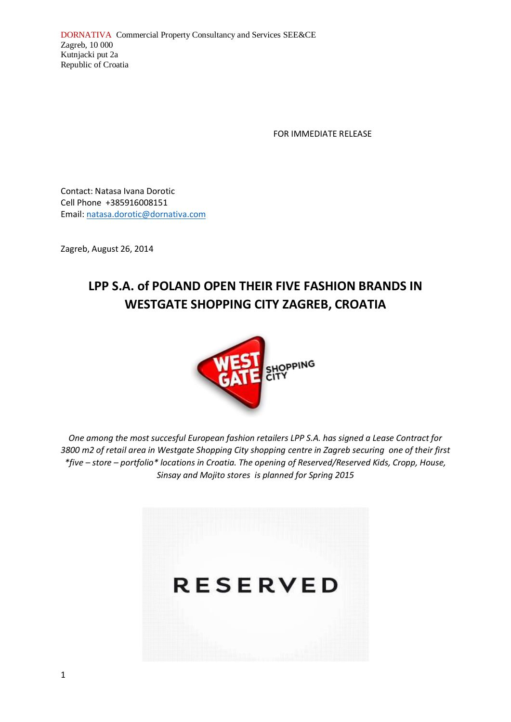DORNATIVA Commercial Property Consultancy and Services SEE&CE Zagreb, 10 000 Kutnjacki put 2a Republic of Croatia

FOR IMMEDIATE RELEASE

Contact: Natasa Ivana Dorotic Cell Phone +385916008151 Email: [natasa.dorotic@dornativa.com](mailto:natasa.dorotic@dornativa.com)

Zagreb, August 26, 2014

## **LPP S.A. of POLAND OPEN THEIR FIVE FASHION BRANDS IN WESTGATE SHOPPING CITY ZAGREB, CROATIA**



*One among the most succesful European fashion retailers LPP S.A. has signed a Lease Contract for 3800 m2 of retail area in Westgate Shopping City shopping centre in Zagreb securing one of their first \*five – store – portfolio\* locations in Croatia. The opening of Reserved/Reserved Kids, Cropp, House, Sinsay and Mojito stores is planned for Spring 2015*

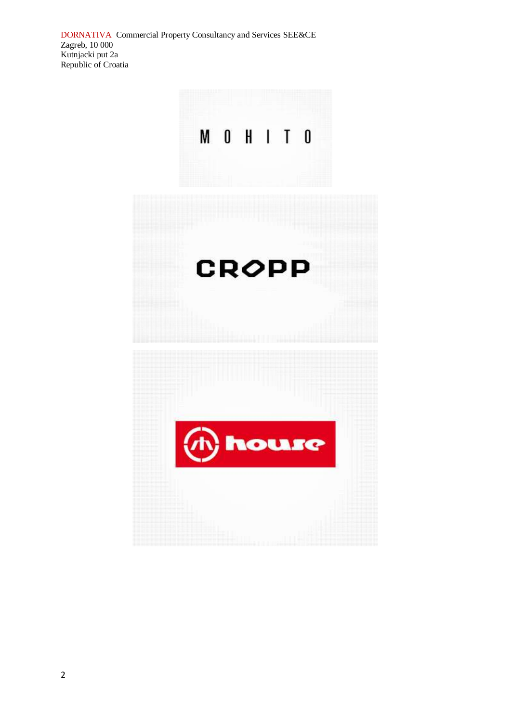DORNATIVA Commercial Property Consultancy and Services SEE&CE Zagreb, 10 000 Kutnjacki put 2a Republic of Croatia

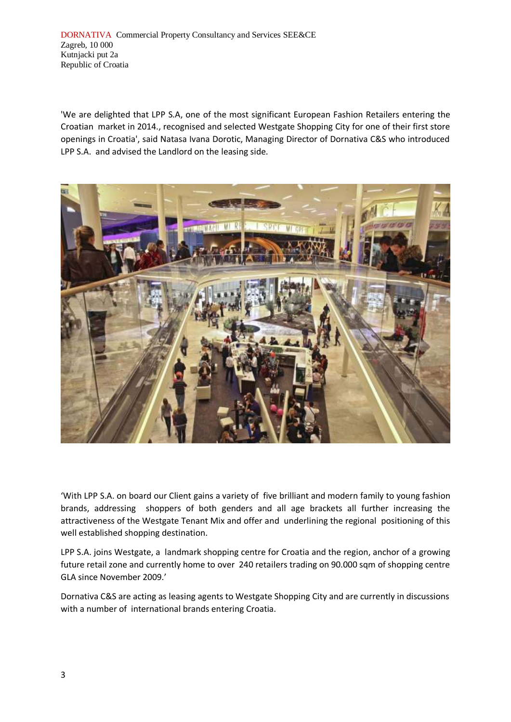DORNATIVA Commercial Property Consultancy and Services SEE&CE Zagreb, 10 000 Kutnjacki put 2a Republic of Croatia

'We are delighted that LPP S.A, one of the most significant European Fashion Retailers entering the Croatian market in 2014., recognised and selected Westgate Shopping City for one of their first store openings in Croatia', said Natasa Ivana Dorotic, Managing Director of Dornativa C&S who introduced LPP S.A. and advised the Landlord on the leasing side.



'With LPP S.A. on board our Client gains a variety of five brilliant and modern family to young fashion brands, addressing shoppers of both genders and all age brackets all further increasing the attractiveness of the Westgate Tenant Mix and offer and underlining the regional positioning of this well established shopping destination.

LPP S.A. joins Westgate, a landmark shopping centre for Croatia and the region, anchor of a growing future retail zone and currently home to over 240 retailers trading on 90.000 sqm of shopping centre GLA since November 2009.'

Dornativa C&S are acting as leasing agents to Westgate Shopping City and are currently in discussions with a number of international brands entering Croatia.